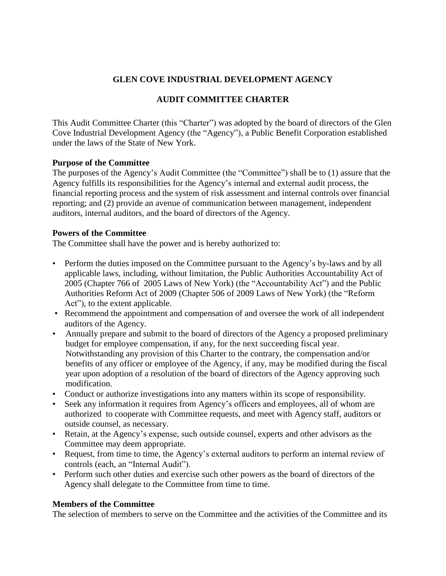## **GLEN COVE INDUSTRIAL DEVELOPMENT AGENCY**

# **AUDIT COMMITTEE CHARTER**

This Audit Committee Charter (this "Charter") was adopted by the board of directors of the Glen Cove Industrial Development Agency (the "Agency"), a Public Benefit Corporation established under the laws of the State of New York.

#### **Purpose of the Committee**

The purposes of the Agency's Audit Committee (the "Committee") shall be to (1) assure that the Agency fulfills its responsibilities for the Agency's internal and external audit process, the financial reporting process and the system of risk assessment and internal controls over financial reporting; and (2) provide an avenue of communication between management, independent auditors, internal auditors, and the board of directors of the Agency.

#### **Powers of the Committee**

The Committee shall have the power and is hereby authorized to:

- Perform the duties imposed on the Committee pursuant to the Agency's by-laws and by all applicable laws, including, without limitation, the Public Authorities Accountability Act of 2005 (Chapter 766 of 2005 Laws of New York) (the "Accountability Act") and the Public Authorities Reform Act of 2009 (Chapter 506 of 2009 Laws of New York) (the "Reform Act"), to the extent applicable.
- Recommend the appointment and compensation of and oversee the work of all independent auditors of the Agency.
- Annually prepare and submit to the board of directors of the Agency a proposed preliminary budget for employee compensation, if any, for the next succeeding fiscal year. Notwithstanding any provision of this Charter to the contrary, the compensation and/or benefits of any officer or employee of the Agency, if any, may be modified during the fiscal year upon adoption of a resolution of the board of directors of the Agency approving such modification.
- Conduct or authorize investigations into any matters within its scope of responsibility.
- Seek any information it requires from Agency's officers and employees, all of whom are authorized to cooperate with Committee requests, and meet with Agency staff, auditors or outside counsel, as necessary.
- Retain, at the Agency's expense, such outside counsel, experts and other advisors as the Committee may deem appropriate.
- Request, from time to time, the Agency's external auditors to perform an internal review of controls (each, an "Internal Audit").
- Perform such other duties and exercise such other powers as the board of directors of the Agency shall delegate to the Committee from time to time.

## **Members of the Committee**

The selection of members to serve on the Committee and the activities of the Committee and its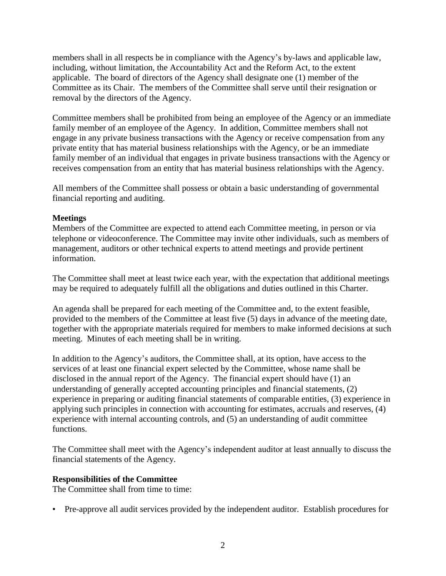members shall in all respects be in compliance with the Agency's by-laws and applicable law, including, without limitation, the Accountability Act and the Reform Act, to the extent applicable. The board of directors of the Agency shall designate one (1) member of the Committee as its Chair. The members of the Committee shall serve until their resignation or removal by the directors of the Agency.

Committee members shall be prohibited from being an employee of the Agency or an immediate family member of an employee of the Agency. In addition, Committee members shall not engage in any private business transactions with the Agency or receive compensation from any private entity that has material business relationships with the Agency, or be an immediate family member of an individual that engages in private business transactions with the Agency or receives compensation from an entity that has material business relationships with the Agency.

All members of the Committee shall possess or obtain a basic understanding of governmental financial reporting and auditing.

#### **Meetings**

Members of the Committee are expected to attend each Committee meeting, in person or via telephone or videoconference. The Committee may invite other individuals, such as members of management, auditors or other technical experts to attend meetings and provide pertinent information.

The Committee shall meet at least twice each year, with the expectation that additional meetings may be required to adequately fulfill all the obligations and duties outlined in this Charter.

An agenda shall be prepared for each meeting of the Committee and, to the extent feasible, provided to the members of the Committee at least five (5) days in advance of the meeting date, together with the appropriate materials required for members to make informed decisions at such meeting. Minutes of each meeting shall be in writing.

In addition to the Agency's auditors, the Committee shall, at its option, have access to the services of at least one financial expert selected by the Committee, whose name shall be disclosed in the annual report of the Agency. The financial expert should have (1) an understanding of generally accepted accounting principles and financial statements, (2) experience in preparing or auditing financial statements of comparable entities, (3) experience in applying such principles in connection with accounting for estimates, accruals and reserves, (4) experience with internal accounting controls, and (5) an understanding of audit committee functions.

The Committee shall meet with the Agency's independent auditor at least annually to discuss the financial statements of the Agency.

## **Responsibilities of the Committee**

The Committee shall from time to time:

• Pre-approve all audit services provided by the independent auditor. Establish procedures for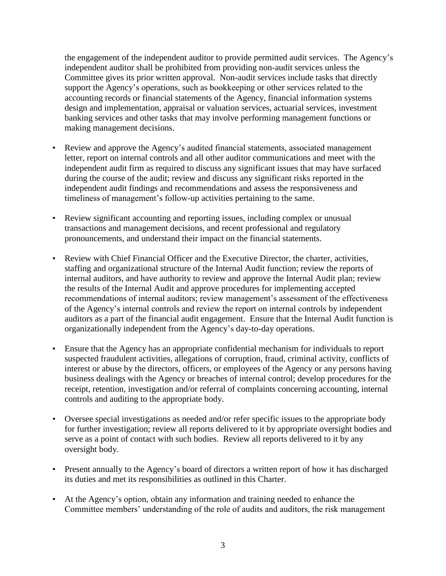the engagement of the independent auditor to provide permitted audit services. The Agency's independent auditor shall be prohibited from providing non-audit services unless the Committee gives its prior written approval. Non-audit services include tasks that directly support the Agency's operations, such as bookkeeping or other services related to the accounting records or financial statements of the Agency, financial information systems design and implementation, appraisal or valuation services, actuarial services, investment banking services and other tasks that may involve performing management functions or making management decisions.

- Review and approve the Agency's audited financial statements, associated management letter, report on internal controls and all other auditor communications and meet with the independent audit firm as required to discuss any significant issues that may have surfaced during the course of the audit; review and discuss any significant risks reported in the independent audit findings and recommendations and assess the responsiveness and timeliness of management's follow-up activities pertaining to the same.
- Review significant accounting and reporting issues, including complex or unusual transactions and management decisions, and recent professional and regulatory pronouncements, and understand their impact on the financial statements.
- Review with Chief Financial Officer and the Executive Director, the charter, activities, staffing and organizational structure of the Internal Audit function; review the reports of internal auditors, and have authority to review and approve the Internal Audit plan; review the results of the Internal Audit and approve procedures for implementing accepted recommendations of internal auditors; review management's assessment of the effectiveness of the Agency's internal controls and review the report on internal controls by independent auditors as a part of the financial audit engagement. Ensure that the Internal Audit function is organizationally independent from the Agency's day-to-day operations.
- Ensure that the Agency has an appropriate confidential mechanism for individuals to report suspected fraudulent activities, allegations of corruption, fraud, criminal activity, conflicts of interest or abuse by the directors, officers, or employees of the Agency or any persons having business dealings with the Agency or breaches of internal control; develop procedures for the receipt, retention, investigation and/or referral of complaints concerning accounting, internal controls and auditing to the appropriate body.
- Oversee special investigations as needed and/or refer specific issues to the appropriate body for further investigation; review all reports delivered to it by appropriate oversight bodies and serve as a point of contact with such bodies. Review all reports delivered to it by any oversight body.
- Present annually to the Agency's board of directors a written report of how it has discharged its duties and met its responsibilities as outlined in this Charter.
- At the Agency's option, obtain any information and training needed to enhance the Committee members' understanding of the role of audits and auditors, the risk management